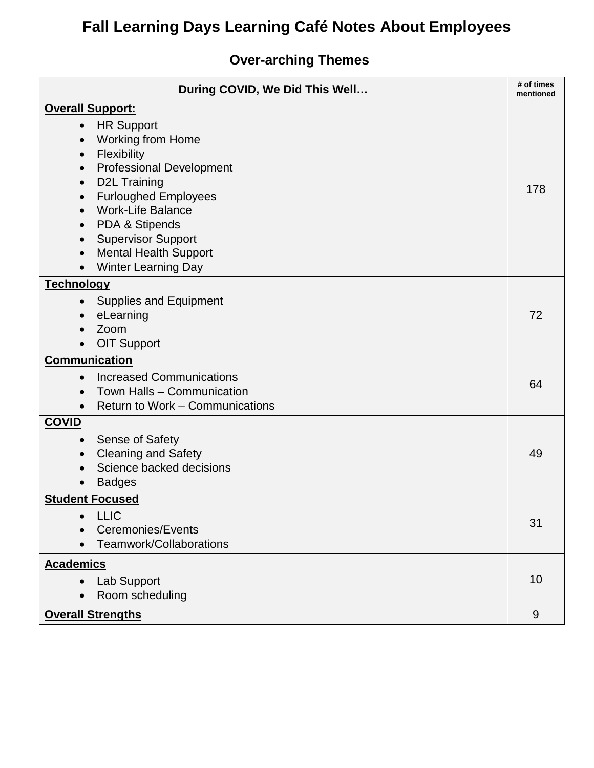### **Over-arching Themes**

| During COVID, We Did This Well               | # of times<br>mentioned |  |
|----------------------------------------------|-------------------------|--|
| <b>Overall Support:</b>                      |                         |  |
| <b>HR Support</b><br>$\bullet$               |                         |  |
| <b>Working from Home</b>                     |                         |  |
| Flexibility<br>$\bullet$                     |                         |  |
| <b>Professional Development</b><br>$\bullet$ |                         |  |
| <b>D2L Training</b><br>$\bullet$             | 178                     |  |
| <b>Furloughed Employees</b><br>$\bullet$     |                         |  |
| <b>Work-Life Balance</b>                     |                         |  |
| PDA & Stipends<br>$\bullet$                  |                         |  |
| <b>Supervisor Support</b><br>$\bullet$       |                         |  |
| <b>Mental Health Support</b><br>$\bullet$    |                         |  |
| <b>Winter Learning Day</b>                   |                         |  |
| <b>Technology</b>                            |                         |  |
| <b>Supplies and Equipment</b><br>$\bullet$   |                         |  |
| eLearning                                    | 72                      |  |
| Zoom                                         |                         |  |
| <b>OIT Support</b>                           |                         |  |
| <b>Communication</b>                         |                         |  |
| <b>Increased Communications</b>              | 64                      |  |
| Town Halls - Communication                   |                         |  |
| Return to Work - Communications<br>$\bullet$ |                         |  |
| <b>COVID</b>                                 |                         |  |
| <b>Sense of Safety</b><br>$\bullet$          |                         |  |
| <b>Cleaning and Safety</b>                   | 49                      |  |
| Science backed decisions                     |                         |  |
| <b>Badges</b>                                |                         |  |
| <b>Student Focused</b>                       |                         |  |
| <b>LLIC</b>                                  |                         |  |
| Ceremonies/Events                            | 31                      |  |
| Teamwork/Collaborations<br>$\bullet$         |                         |  |
| <b>Academics</b>                             |                         |  |
| Lab Support                                  | 10                      |  |
| Room scheduling                              |                         |  |
| <b>Overall Strengths</b>                     | 9                       |  |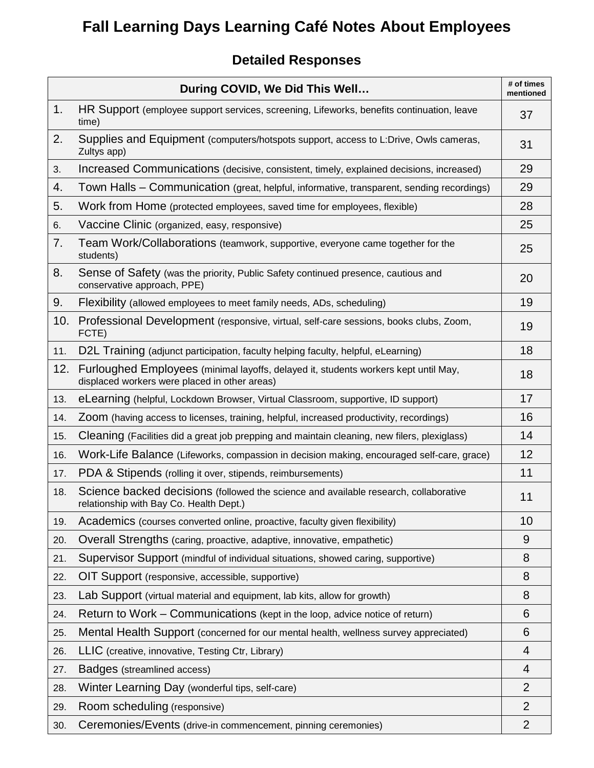#### **Detailed Responses**

|     | During COVID, We Did This Well                                                                                                       | # of times<br>mentioned |
|-----|--------------------------------------------------------------------------------------------------------------------------------------|-------------------------|
| 1.  | HR Support (employee support services, screening, Lifeworks, benefits continuation, leave<br>time)                                   | 37                      |
| 2.  | Supplies and Equipment (computers/hotspots support, access to L:Drive, Owls cameras,<br>Zultys app)                                  | 31                      |
| 3.  | Increased Communications (decisive, consistent, timely, explained decisions, increased)                                              | 29                      |
| 4.  | Town Halls - Communication (great, helpful, informative, transparent, sending recordings)                                            | 29                      |
| 5.  | Work from Home (protected employees, saved time for employees, flexible)                                                             | 28                      |
| 6.  | Vaccine Clinic (organized, easy, responsive)                                                                                         | 25                      |
| 7.  | Team Work/Collaborations (teamwork, supportive, everyone came together for the<br>students)                                          | 25                      |
| 8.  | Sense of Safety (was the priority, Public Safety continued presence, cautious and<br>conservative approach, PPE)                     | 20                      |
| 9.  | Flexibility (allowed employees to meet family needs, ADs, scheduling)                                                                | 19                      |
| 10. | Professional Development (responsive, virtual, self-care sessions, books clubs, Zoom,<br>FCTE)                                       | 19                      |
| 11. | D2L Training (adjunct participation, faculty helping faculty, helpful, eLearning)                                                    | 18                      |
| 12. | Furloughed Employees (minimal layoffs, delayed it, students workers kept until May,<br>displaced workers were placed in other areas) | 18                      |
| 13. | eLearning (helpful, Lockdown Browser, Virtual Classroom, supportive, ID support)                                                     | 17                      |
| 14. | Zoom (having access to licenses, training, helpful, increased productivity, recordings)                                              | 16                      |
| 15. | Cleaning (Facilities did a great job prepping and maintain cleaning, new filers, plexiglass)                                         | 14                      |
| 16. | Work-Life Balance (Lifeworks, compassion in decision making, encouraged self-care, grace)                                            | 12                      |
| 17. | PDA & Stipends (rolling it over, stipends, reimbursements)                                                                           | 11                      |
| 18. | Science backed decisions (followed the science and available research, collaborative<br>relationship with Bay Co. Health Dept.)      | 11                      |
| 19. | Academics (courses converted online, proactive, faculty given flexibility)                                                           | 10                      |
| 20. | Overall Strengths (caring, proactive, adaptive, innovative, empathetic)                                                              | 9                       |
| 21. | Supervisor Support (mindful of individual situations, showed caring, supportive)                                                     | 8                       |
| 22. | OIT Support (responsive, accessible, supportive)                                                                                     | 8                       |
| 23. | Lab Support (virtual material and equipment, lab kits, allow for growth)                                                             | 8                       |
| 24. | Return to Work – Communications (kept in the loop, advice notice of return)                                                          | 6                       |
| 25. | Mental Health Support (concerned for our mental health, wellness survey appreciated)                                                 | 6                       |
| 26. | LLIC (creative, innovative, Testing Ctr, Library)                                                                                    | 4                       |
| 27. | Badges (streamlined access)                                                                                                          | 4                       |
| 28. | Winter Learning Day (wonderful tips, self-care)                                                                                      | $\overline{2}$          |
| 29. | Room scheduling (responsive)                                                                                                         | $\overline{2}$          |
| 30. | Ceremonies/Events (drive-in commencement, pinning ceremonies)                                                                        | $\overline{2}$          |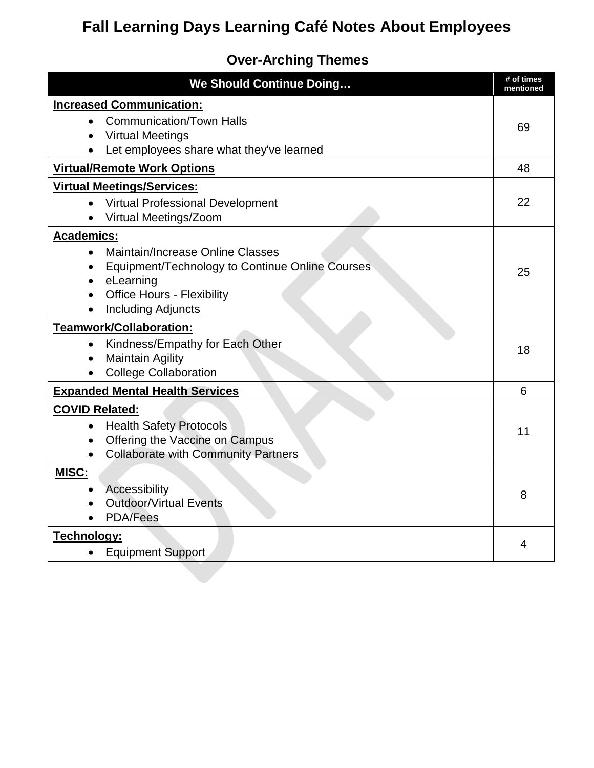### **Over-Arching Themes**

| <b>We Should Continue Doing</b>                                                                                                                                                 | # of times<br>mentioned |
|---------------------------------------------------------------------------------------------------------------------------------------------------------------------------------|-------------------------|
| <b>Increased Communication:</b>                                                                                                                                                 |                         |
| <b>Communication/Town Halls</b><br><b>Virtual Meetings</b><br>Let employees share what they've learned                                                                          | 69                      |
| <b>Virtual/Remote Work Options</b>                                                                                                                                              | 48                      |
| <b>Virtual Meetings/Services:</b>                                                                                                                                               |                         |
| <b>Virtual Professional Development</b><br>Virtual Meetings/Zoom                                                                                                                | 22                      |
| <b>Academics:</b>                                                                                                                                                               |                         |
| Maintain/Increase Online Classes<br>$\bullet$<br>Equipment/Technology to Continue Online Courses<br>eLearning<br><b>Office Hours - Flexibility</b><br><b>Including Adjuncts</b> | 25                      |
| <b>Teamwork/Collaboration:</b>                                                                                                                                                  |                         |
| Kindness/Empathy for Each Other<br>$\bullet$<br><b>Maintain Agility</b><br>$\bullet$<br><b>College Collaboration</b>                                                            | 18                      |
| <b>Expanded Mental Health Services</b>                                                                                                                                          | 6                       |
| <b>COVID Related:</b><br><b>Health Safety Protocols</b><br>$\bullet$<br>Offering the Vaccine on Campus<br>$\bullet$<br><b>Collaborate with Community Partners</b>               | 11                      |
| <b>MISC:</b>                                                                                                                                                                    |                         |
| <b>Accessibility</b><br><b>Outdoor/Virtual Events</b><br><b>PDA/Fees</b>                                                                                                        | 8                       |
| Technology:                                                                                                                                                                     | 4                       |
| <b>Equipment Support</b>                                                                                                                                                        |                         |